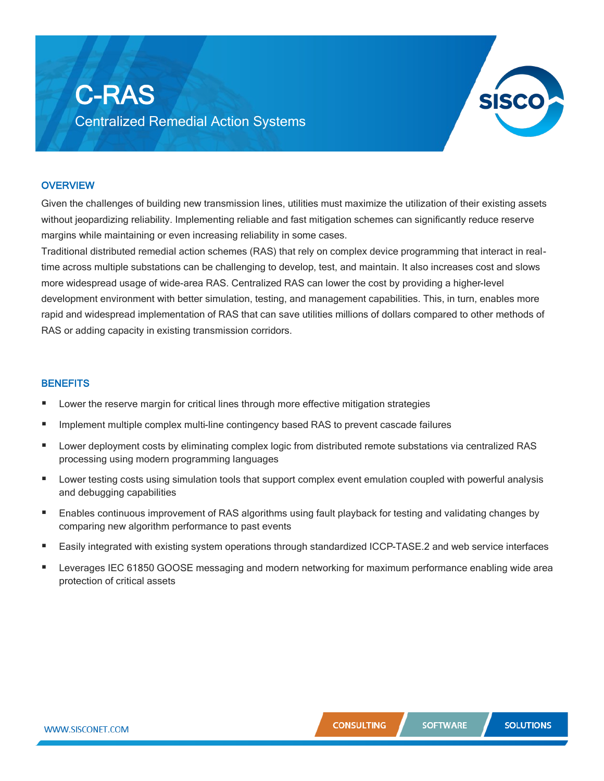Centralized Remedial Action Systems



## **OVERVIEW**

Given the challenges of building new transmission lines, utilities must maximize the utilization of their existing assets without jeopardizing reliability. Implementing reliable and fast mitigation schemes can significantly reduce reserve margins while maintaining or even increasing reliability in some cases.

Traditional distributed remedial action schemes (RAS) that rely on complex device programming that interact in realtime across multiple substations can be challenging to develop, test, and maintain. It also increases cost and slows more widespread usage of wide-area RAS. Centralized RAS can lower the cost by providing a higher-level development environment with better simulation, testing, and management capabilities. This, in turn, enables more rapid and widespread implementation of RAS that can save utilities millions of dollars compared to other methods of RAS or adding capacity in existing transmission corridors.

### **BENEFITS**

- Lower the reserve margin for critical lines through more effective mitigation strategies
- Implement multiple complex multi-line contingency based RAS to prevent cascade failures
- Lower deployment costs by eliminating complex logic from distributed remote substations via centralized RAS processing using modern programming languages
- Lower testing costs using simulation tools that support complex event emulation coupled with powerful analysis and debugging capabilities
- Enables continuous improvement of RAS algorithms using fault playback for testing and validating changes by comparing new algorithm performance to past events
- Easily integrated with existing system operations through standardized ICCP-TASE.2 and web service interfaces
- Leverages IEC 61850 GOOSE messaging and modern networking for maximum performance enabling wide area protection of critical assets